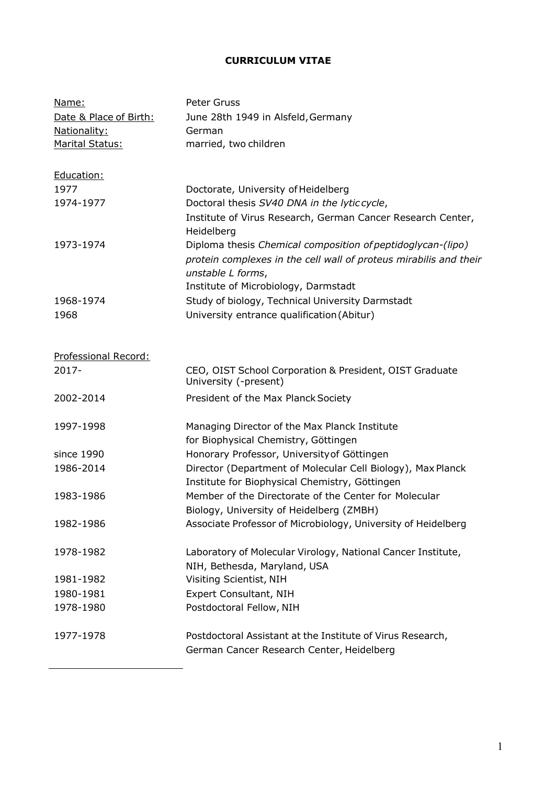### **CURRICULUM VITAE**

| Name:<br>Date & Place of Birth:<br>Nationality:<br>Marital Status: | Peter Gruss<br>June 28th 1949 in Alsfeld, Germany<br>German<br>married, two children                    |
|--------------------------------------------------------------------|---------------------------------------------------------------------------------------------------------|
|                                                                    |                                                                                                         |
| Education:                                                         |                                                                                                         |
| 1977                                                               | Doctorate, University of Heidelberg                                                                     |
| 1974-1977                                                          | Doctoral thesis SV40 DNA in the lytic cycle,                                                            |
|                                                                    | Institute of Virus Research, German Cancer Research Center,<br>Heidelberg                               |
| 1973-1974                                                          | Diploma thesis Chemical composition of peptidoglycan-(lipo)                                             |
|                                                                    | protein complexes in the cell wall of proteus mirabilis and their<br>unstable L forms,                  |
|                                                                    | Institute of Microbiology, Darmstadt                                                                    |
| 1968-1974                                                          | Study of biology, Technical University Darmstadt                                                        |
| 1968                                                               | University entrance qualification (Abitur)                                                              |
|                                                                    |                                                                                                         |
|                                                                    |                                                                                                         |
| Professional Record:                                               |                                                                                                         |
| $2017 -$                                                           | CEO, OIST School Corporation & President, OIST Graduate<br>University (-present)                        |
| 2002-2014                                                          | President of the Max Planck Society                                                                     |
| 1997-1998                                                          | Managing Director of the Max Planck Institute                                                           |
|                                                                    | for Biophysical Chemistry, Göttingen                                                                    |
| since 1990                                                         | Honorary Professor, University of Göttingen                                                             |
| 1986-2014                                                          | Director (Department of Molecular Cell Biology), Max Planck                                             |
|                                                                    | Institute for Biophysical Chemistry, Göttingen                                                          |
| 1983-1986                                                          | Member of the Directorate of the Center for Molecular                                                   |
|                                                                    | Biology, University of Heidelberg (ZMBH)                                                                |
| 1982-1986                                                          | Associate Professor of Microbiology, University of Heidelberg                                           |
|                                                                    |                                                                                                         |
| 1978-1982                                                          | Laboratory of Molecular Virology, National Cancer Institute,                                            |
|                                                                    | NIH, Bethesda, Maryland, USA                                                                            |
| 1981-1982                                                          | Visiting Scientist, NIH                                                                                 |
| 1980-1981                                                          | <b>Expert Consultant, NIH</b>                                                                           |
| 1978-1980                                                          | Postdoctoral Fellow, NIH                                                                                |
| 1977-1978                                                          | Postdoctoral Assistant at the Institute of Virus Research,<br>German Cancer Research Center, Heidelberg |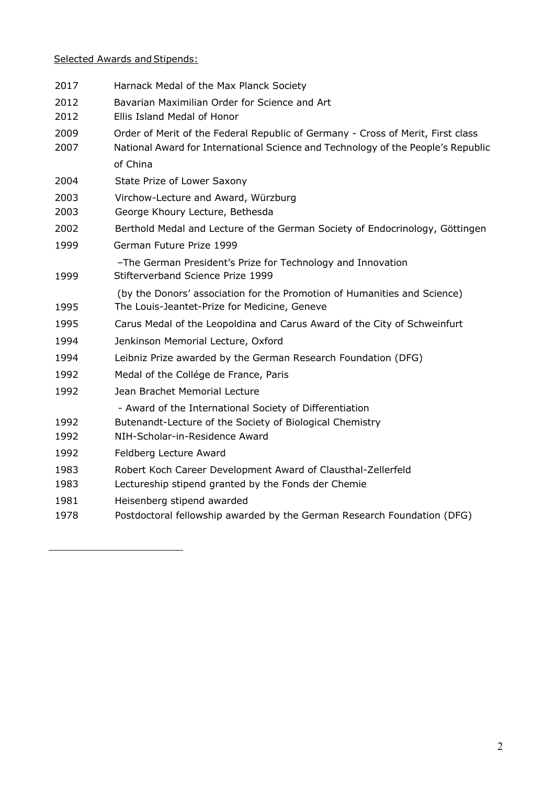# Selected Awards and Stipends:

| 2017         | Harnack Medal of the Max Planck Society                                                                                                                             |
|--------------|---------------------------------------------------------------------------------------------------------------------------------------------------------------------|
| 2012<br>2012 | Bavarian Maximilian Order for Science and Art<br>Ellis Island Medal of Honor                                                                                        |
| 2009<br>2007 | Order of Merit of the Federal Republic of Germany - Cross of Merit, First class<br>National Award for International Science and Technology of the People's Republic |
|              | of China                                                                                                                                                            |
| 2004         | State Prize of Lower Saxony                                                                                                                                         |
| 2003<br>2003 | Virchow-Lecture and Award, Würzburg<br>George Khoury Lecture, Bethesda                                                                                              |
| 2002         | Berthold Medal and Lecture of the German Society of Endocrinology, Göttingen                                                                                        |
| 1999         | German Future Prize 1999                                                                                                                                            |
| 1999         | -The German President's Prize for Technology and Innovation<br>Stifterverband Science Prize 1999                                                                    |
| 1995         | (by the Donors' association for the Promotion of Humanities and Science)<br>The Louis-Jeantet-Prize for Medicine, Geneve                                            |
| 1995         | Carus Medal of the Leopoldina and Carus Award of the City of Schweinfurt                                                                                            |
| 1994         | Jenkinson Memorial Lecture, Oxford                                                                                                                                  |
| 1994         | Leibniz Prize awarded by the German Research Foundation (DFG)                                                                                                       |
| 1992         | Medal of the Collége de France, Paris                                                                                                                               |
| 1992         | Jean Brachet Memorial Lecture                                                                                                                                       |
|              | - Award of the International Society of Differentiation                                                                                                             |
| 1992         | Butenandt-Lecture of the Society of Biological Chemistry                                                                                                            |
| 1992         | NIH-Scholar-in-Residence Award                                                                                                                                      |
| 1992         | Feldberg Lecture Award                                                                                                                                              |
| 1983         | Robert Koch Career Development Award of Clausthal-Zellerfeld                                                                                                        |
| 1983         | Lectureship stipend granted by the Fonds der Chemie                                                                                                                 |
| 1981         | Heisenberg stipend awarded                                                                                                                                          |
| 1978         | Postdoctoral fellowship awarded by the German Research Foundation (DFG)                                                                                             |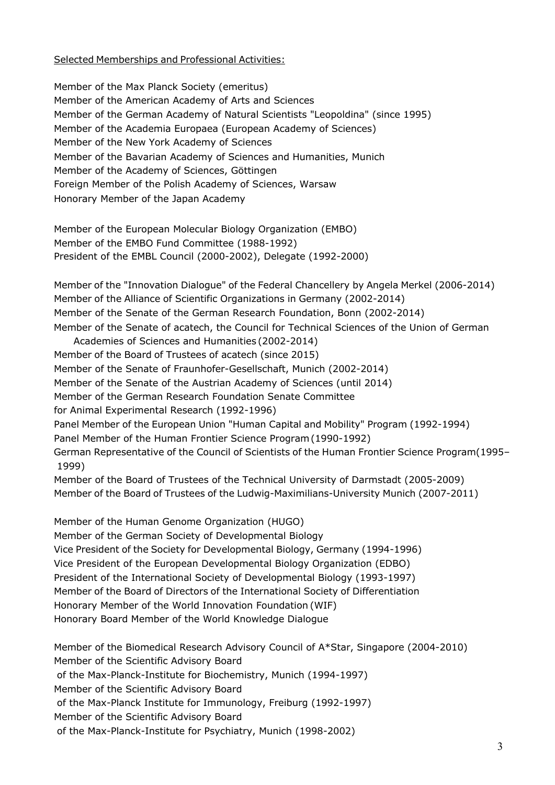### Selected Memberships and Professional Activities:

Member of the Max Planck Society (emeritus) Member of the American Academy of Arts and Sciences Member of the German Academy of Natural Scientists "Leopoldina" (since 1995) Member of the Academia Europaea (European Academy of Sciences) Member of the New York Academy of Sciences Member of the Bavarian Academy of Sciences and Humanities, Munich Member of the Academy of Sciences, Göttingen Foreign Member of the Polish Academy of Sciences, Warsaw Honorary Member of the Japan Academy

Member of the European Molecular Biology Organization (EMBO) Member of the EMBO Fund Committee (1988-1992) President of the EMBL Council (2000-2002), Delegate (1992-2000)

Member of the "Innovation Dialogue" of the Federal Chancellery by Angela Merkel (2006-2014) Member of the Alliance of Scientific Organizations in Germany (2002-2014) Member of the Senate of the German Research Foundation, Bonn (2002-2014) Member of the Senate of acatech, the Council for Technical Sciences of the Union of German

Academies of Sciences and Humanities (2002-2014) Member of the Board of Trustees of acatech (since 2015) Member of the Senate of Fraunhofer-Gesellschaft, Munich (2002-2014) Member of the Senate of the Austrian Academy of Sciences (until 2014)

Member of the German Research Foundation Senate Committee

for Animal Experimental Research (1992-1996)

Panel Member of the European Union "Human Capital and Mobility" Program (1992-1994) Panel Member of the Human Frontier Science Program(1990-1992)

German Representative of the Council of Scientists of the Human Frontier Science Program(1995– 1999)

Member of the Board of Trustees of the Technical University of Darmstadt (2005-2009) Member of the Board of Trustees of the Ludwig-Maximilians-University Munich (2007-2011)

Member of the Human Genome Organization (HUGO) Member of the German Society of Developmental Biology Vice President of the Society for Developmental Biology, Germany (1994-1996) Vice President of the European Developmental Biology Organization (EDBO) President of the International Society of Developmental Biology (1993-1997) Member of the Board of Directors of the International Society of Differentiation Honorary Member of the World Innovation Foundation (WIF) Honorary Board Member of the World Knowledge Dialogue

Member of the Biomedical Research Advisory Council of A\*Star, Singapore (2004-2010) Member of the Scientific Advisory Board of the Max-Planck-Institute for Biochemistry, Munich (1994-1997) Member of the Scientific Advisory Board of the Max-Planck Institute for Immunology, Freiburg (1992-1997) Member of the Scientific Advisory Board of the Max-Planck-Institute for Psychiatry, Munich (1998-2002)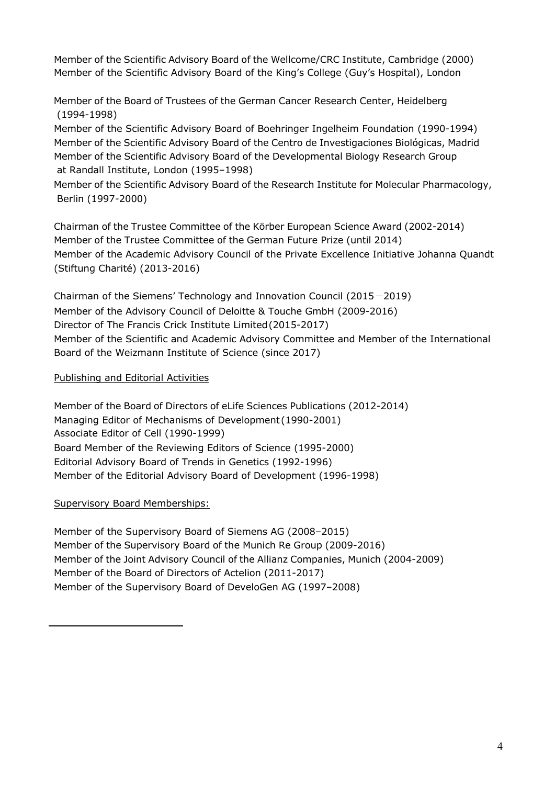Member of the Scientific Advisory Board of the Wellcome/CRC Institute, Cambridge (2000) Member of the Scientific Advisory Board of the King's College (Guy's Hospital), London

Member of the Board of Trustees of the German Cancer Research Center, Heidelberg (1994-1998)

Member of the Scientific Advisory Board of Boehringer Ingelheim Foundation (1990-1994) Member of the Scientific Advisory Board of the Centro de Investigaciones Biológicas, Madrid Member of the Scientific Advisory Board of the Developmental Biology Research Group at Randall Institute, London (1995–1998)

Member of the Scientific Advisory Board of the Research Institute for Molecular Pharmacology, Berlin (1997-2000)

Chairman of the Trustee Committee of the Körber European Science Award (2002-2014) Member of the Trustee Committee of the German Future Prize (until 2014) Member of the Academic Advisory Council of the Private Excellence Initiative Johanna Quandt (Stiftung Charité) (2013-2016)

Chairman of the Siemens' Technology and Innovation Council (2015-2019) Member of the Advisory Council of Deloitte & Touche GmbH (2009-2016) Director of The Francis Crick Institute Limited(2015-2017) Member of the Scientific and Academic Advisory Committee and Member of the International Board of the Weizmann Institute of Science (since 2017)

## Publishing and Editorial Activities

Member of the Board of Directors of eLife Sciences Publications (2012-2014) Managing Editor of Mechanisms of Development (1990-2001) Associate Editor of Cell (1990-1999) Board Member of the Reviewing Editors of Science (1995-2000) Editorial Advisory Board of Trends in Genetics (1992-1996) Member of the Editorial Advisory Board of Development (1996-1998)

## Supervisory Board Memberships:

Member of the Supervisory Board of Siemens AG (2008–2015) Member of the Supervisory Board of the Munich Re Group (2009-2016) Member of the Joint Advisory Council of the Allianz Companies, Munich (2004-2009) Member of the Board of Directors of Actelion (2011-2017) Member of the Supervisory Board of DeveloGen AG (1997–2008)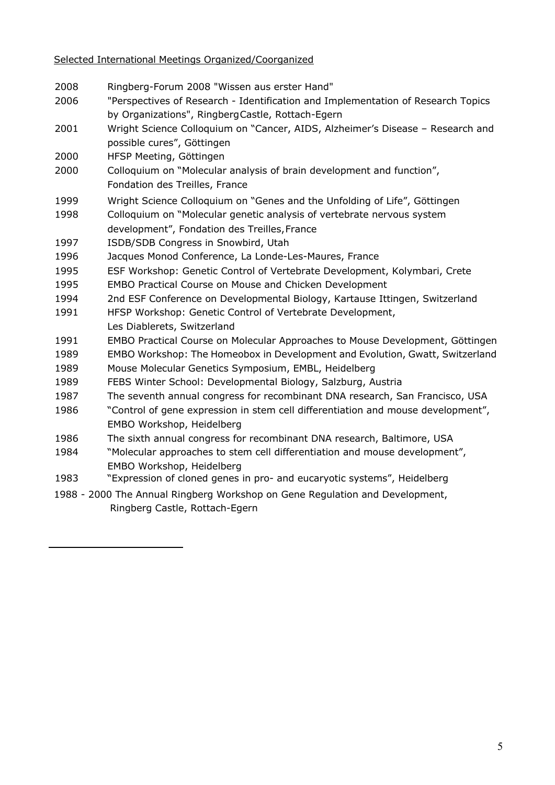- Ringberg-Forum 2008 "Wissen aus erster Hand"
- "Perspectives of Research Identification and Implementation of Research Topics by Organizations", RingbergCastle, Rottach-Egern
- Wright Science Colloquium on "Cancer, AIDS, Alzheimer's Disease Research and possible cures", Göttingen
- HFSP Meeting, Göttingen
- Colloquium on "Molecular analysis of brain development and function", Fondation des Treilles, France
- Wright Science Colloquium on "Genes and the Unfolding of Life", Göttingen
- Colloquium on "Molecular genetic analysis of vertebrate nervous system development", Fondation des Treilles, France
- ISDB/SDB Congress in Snowbird, Utah
- Jacques Monod Conference, La Londe-Les-Maures, France
- ESF Workshop: Genetic Control of Vertebrate Development, Kolymbari, Crete
- EMBO Practical Course on Mouse and Chicken Development
- 2nd ESF Conference on Developmental Biology, Kartause Ittingen, Switzerland
- HFSP Workshop: Genetic Control of Vertebrate Development, Les Diablerets, Switzerland
- EMBO Practical Course on Molecular Approaches to Mouse Development, Göttingen
- EMBO Workshop: The Homeobox in Development and Evolution, Gwatt, Switzerland
- Mouse Molecular Genetics Symposium, EMBL, Heidelberg
- FEBS Winter School: Developmental Biology, Salzburg, Austria
- The seventh annual congress for recombinant DNA research, San Francisco, USA
- "Control of gene expression in stem cell differentiation and mouse development", EMBO Workshop, Heidelberg
- The sixth annual congress for recombinant DNA research, Baltimore, USA
- "Molecular approaches to stem cell differentiation and mouse development", EMBO Workshop, Heidelberg
- "Expression of cloned genes in pro- and eucaryotic systems", Heidelberg
- 1988 2000 The Annual Ringberg Workshop on Gene Regulation and Development, Ringberg Castle, Rottach-Egern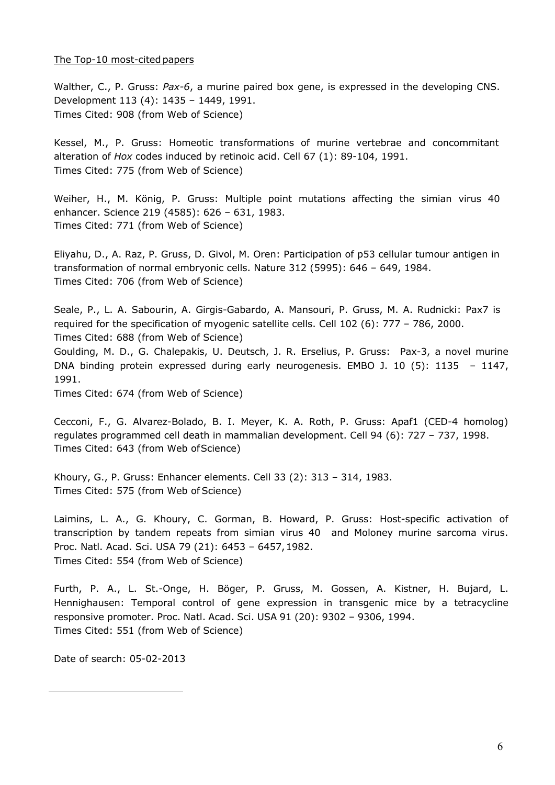#### The Top-10 most-cited papers

Walther, C., P. Gruss: *Pax-6*, a murine paired box gene, is expressed in the developing CNS. Development 113 (4): 1435 – 1449, 1991. Times Cited: 908 (from Web of Science)

Kessel, M., P. Gruss: Homeotic transformations of murine vertebrae and concommitant alteration of *Hox* codes induced by retinoic acid. Cell 67 (1): 89-104, 1991. Times Cited: 775 (from Web of Science)

Weiher, H., M. König, P. Gruss: Multiple point mutations affecting the simian virus 40 enhancer. Science 219 (4585): 626 – 631, 1983. Times Cited: 771 (from Web of Science)

Eliyahu, D., A. Raz, P. Gruss, D. Givol, M. Oren: Participation of p53 cellular tumour antigen in transformation of normal embryonic cells. Nature 312 (5995): 646 – 649, 1984. Times Cited: 706 (from Web of Science)

Seale, P., L. A. Sabourin, A. Girgis-Gabardo, A. Mansouri, P. Gruss, M. A. Rudnicki: Pax7 is required for the specification of myogenic satellite cells. Cell 102 (6): 777 – 786, 2000. Times Cited: 688 (from Web of Science)

Goulding, M. D., G. Chalepakis, U. Deutsch, J. R. Erselius, P. Gruss: Pax-3, a novel murine DNA binding protein expressed during early neurogenesis. EMBO J. 10 (5): 1135 – 1147, 1991.

Times Cited: 674 (from Web of Science)

Cecconi, F., G. Alvarez-Bolado, B. I. Meyer, K. A. Roth, P. Gruss: Apaf1 (CED-4 homolog) regulates programmed cell death in mammalian development. Cell 94 (6): 727 – 737, 1998. Times Cited: 643 (from Web ofScience)

Khoury, G., P. Gruss: Enhancer elements. Cell 33 (2): 313 – 314, 1983. Times Cited: 575 (from Web of Science)

Laimins, L. A., G. Khoury, C. Gorman, B. Howard, P. Gruss: Host-specific activation of transcription by tandem repeats from simian virus 40 and Moloney murine sarcoma virus. Proc. Natl. Acad. Sci. USA 79 (21): 6453 – 6457,1982. Times Cited: 554 (from Web of Science)

Furth, P. A., L. St.-Onge, H. Böger, P. Gruss, M. Gossen, A. Kistner, H. Bujard, L. Hennighausen: Temporal control of gene expression in transgenic mice by a tetracycline responsive promoter. Proc. Natl. Acad. Sci. USA 91 (20): 9302 – 9306, 1994. Times Cited: 551 (from Web of Science)

Date of search: 05-02-2013